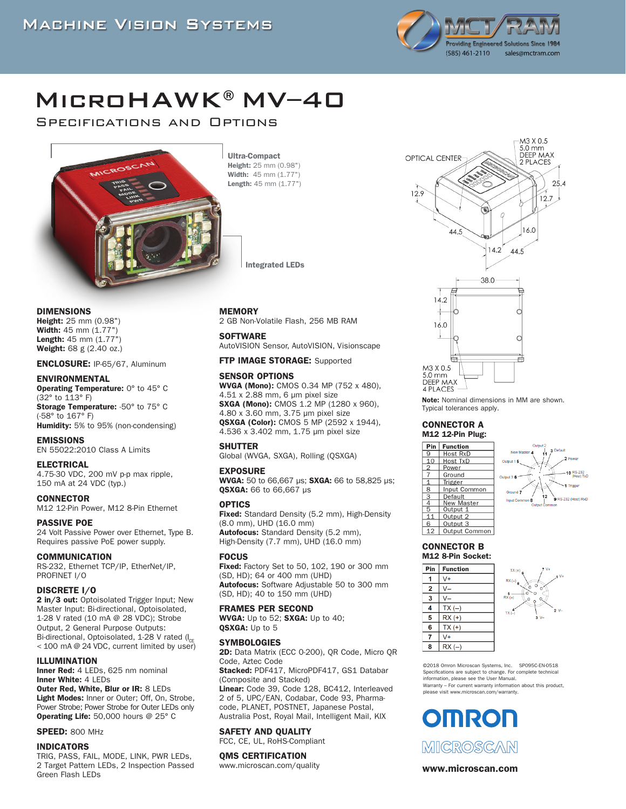

# MicroHAWK®MV–40

Specifications and Options



Height: 25 mm (0.98") Width: 45 mm (1.77") Length: 45 mm (1.77")

Integrated LEDs

DIMENSIONS

Height: 25 mm (0.98") Width: 45 mm (1.77") Length: 45 mm (1.77") Weight: 68 g (2.40 oz.)

#### ENCLOSURE: IP-65/67, Aluminum

#### ENVIRONMENTAL

Operating Temperature: 0° to 45° C (32° to 113° F) Storage Temperature: -50° to 75° C

(-58° to 167° F) Humidity: 5% to 95% (non-condensing)

EMISSIONS EN 55022:2010 Class A Limits

# ELECTRICAL

4.75-30 VDC, 200 mV p-p max ripple, 150 mA at 24 VDC (typ.)

# **CONNECTOR**

M12 12-Pin Power, M12 8-Pin Ethernet

PASSIVE POE 24 Volt Passive Power over Ethernet, Type B. Requires passive PoE power supply.

#### COMMUNICATION

RS-232, Ethernet TCP/IP, EtherNet/IP, PROFINET I/O

#### DISCRETE I/O

2 in/3 out: Optoisolated Trigger Input; New Master Input: Bi-directional, Optoisolated, 1-28 V rated (10 mA @ 28 VDC); Strobe Output, 2 General Purpose Outputs: Bi-directional, Optoisolated, 1-28 V rated  $\mathfrak{g}_{\text{CF}}$ < 100 mA @ 24 VDC, current limited by user)

#### ILLUMINATION

Inner Red: 4 LEDs, 625 nm nominal Inner White: 4 LEDs Outer Red, White, Blur or IR: 8 LEDs Light Modes: Inner or Outer; Off, On, Strobe,

Power Strobe; Power Strobe for Outer LEDs only Operating Life: 50,000 hours @ 25° C

#### **SPEED: 800 MHz**

#### INDICATORS

TRIG, PASS, FAIL, MODE, LINK, PWR LEDs, 2 Target Pattern LEDs, 2 Inspection Passed Green Flash LEDs

#### MEMORY

#### **SOFTWARE**

AutoVISION Sensor, AutoVISION, Visionscape

#### FTP IMAGE STORAGE: Supported

#### SENSOR OPTIONS

WVGA (Mono): CMOS 0.34 MP (752 x 480), 4.51 x 2.88 mm, 6 μm pixel size SXGA (Mono): CMOS 1.2 MP (1280 x 960), 4.80 x 3.60 mm, 3.75 μm pixel size QSXGA (Color): CMOS 5 MP (2592 x 1944), 4.536 x 3.402 mm, 1.75 μm pixel size

#### SHUTTER

Global (WVGA, SXGA), Rolling (QSXGA)

#### EXPOSURE

WVGA: 50 to 66,667 us: SXGA: 66 to 58,825 us: QSXGA: 66 to 66,667 μs

#### **OPTICS**

Fixed: Standard Density (5.2 mm), High-Density (8.0 mm), UHD (16.0 mm) Autofocus: Standard Density (5.2 mm), High-Density (7.7 mm), UHD (16.0 mm)

#### **FOCUS**

**Fixed:** Factory Set to 50, 102, 190 or 300 mm (SD, HD); 64 or 400 mm (UHD) Autofocus: Software Adjustable 50 to 300 mm (SD, HD); 40 to 150 mm (UHD)

#### FRAMES PER SECOND

WVGA: Up to 52; SXGA: Up to 40; QSXGA: Up to 5

#### **SYMBOLOGIES**

2D: Data Matrix (ECC 0-200), QR Code, Micro QR Code, Aztec Code Stacked: PDF417, MicroPDF417, GS1 Databar (Composite and Stacked) Linear: Code 39, Code 128, BC412, Interleaved 2 of 5, UPC/EAN, Codabar, Code 93, Pharmacode, PLANET, POSTNET, Japanese Postal, Australia Post, Royal Mail, Intelligent Mail, KIX

# SAFETY AND QUALITY

FCC, CE, UL, RoHS-Compliant

#### OMS CERTIFICATION

www.microscan.com/quality



Note: Nominal dimensions in MM are shown. Typical tolerances apply.

#### CONNECTOR A M12 12-Pin Plug:





#### CONNECTOR B M12 8-Pin Socket:





©2018 Omron Microscan Systems, Inc. SP095C-EN-0518 Specifications are subject to change. For complete technical information, please see the User Manual. Warranty – For current warranty information about this product, please visit www.microscan.com/warranty.

# **OMRON**



#### www.microscan.com

2 GB Non-Volatile Flash, 256 MB RAM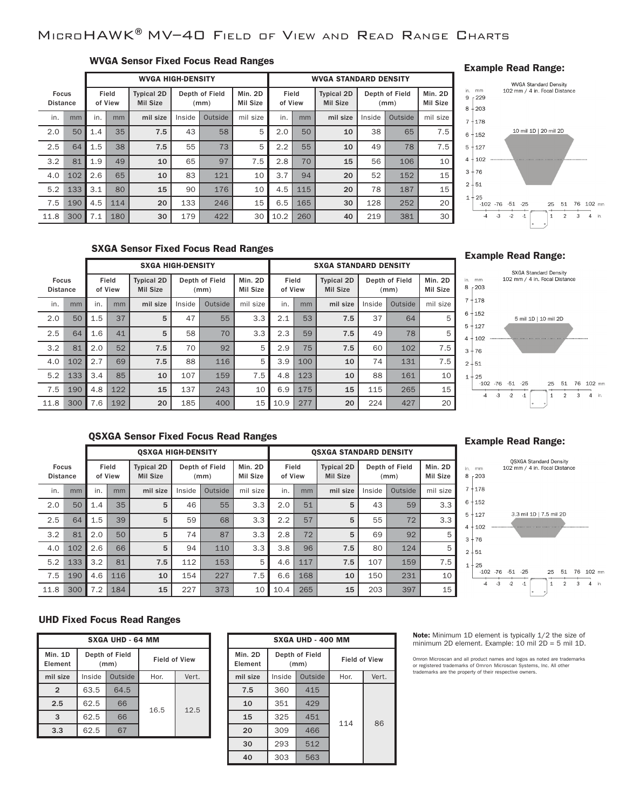# MicroHAWK®MV–40 Field of View and Read Range Charts

# WVGA Sensor Fixed Focus Read Ranges

|                                 |     |     | <b>WVGA HIGH-DENSITY</b> |                                      |        |                        |                     | <b>WVGA STANDARD DENSITY</b> |     |                                      |        |                        |                            |
|---------------------------------|-----|-----|--------------------------|--------------------------------------|--------|------------------------|---------------------|------------------------------|-----|--------------------------------------|--------|------------------------|----------------------------|
| <b>Focus</b><br><b>Distance</b> |     |     | Field<br>of View         | <b>Typical 2D</b><br><b>Mil Size</b> |        | Depth of Field<br>(mm) | Min. 2D<br>Mil Size | Field<br>of View             |     | <b>Typical 2D</b><br><b>Mil Size</b> |        | Depth of Field<br>(mm) | Min. 2D<br><b>Mil Size</b> |
| in.                             | mm  | in. | mm                       | mil size                             | Inside | Outside                | mil size            | in.                          | mm  | mil size                             | Inside | Outside                | mil size                   |
| 2.0                             | 50  | 1.4 | 35                       | 7.5                                  | 43     | 58                     | 5                   | 2.0                          | 50  | 10                                   | 38     | 65                     | 7.5                        |
| 2.5                             | 64  | 1.5 | 38                       | 7.5                                  | 55     | 73                     | 5                   | 2.2                          | 55  | 10                                   | 49     | 78                     | 7.5                        |
| 3.2                             | 81  | 1.9 | 49                       | 10                                   | 65     | 97                     | 7.5                 | 2.8                          | 70  | 15                                   | 56     | 106                    | 10                         |
| 4.0                             | 102 | 2.6 | 65                       | 10                                   | 83     | 121                    | 10                  | 3.7                          | 94  | 20                                   | 52     | 152                    | 15                         |
| 5.2                             | 133 | 3.1 | 80                       | 15                                   | 90     | 176                    | 10                  | 4.5                          | 115 | 20                                   | 78     | 187                    | 15                         |
| 7.5                             | 190 | 4.5 | 114                      | 20                                   | 133    | 246                    | 15                  | 6.5                          | 165 | 30                                   | 128    | 252                    | 20                         |
| 11.8                            | 300 | 7.1 | 180                      | 30                                   | 179    | 422                    | 30                  | 10.2                         | 260 | 40                                   | 219    | 381                    | 30                         |

## Example Read Range:



# SXGA Sensor Fixed Focus Read Ranges

|                                                     |     |                                      | <b>SXGA HIGH-DENSITY</b> |          |                     |                  |          |                                      |     | <b>SXGA STANDARD DENSITY</b> |                     |         |          |
|-----------------------------------------------------|-----|--------------------------------------|--------------------------|----------|---------------------|------------------|----------|--------------------------------------|-----|------------------------------|---------------------|---------|----------|
| Field<br><b>Focus</b><br><b>Distance</b><br>of View |     | <b>Typical 2D</b><br><b>Mil Size</b> | Depth of Field<br>(mm)   |          | Min. 2D<br>Mil Size | Field<br>of View |          | <b>Typical 2D</b><br><b>Mil Size</b> |     | Depth of Field<br>(mm)       | Min. 2D<br>Mil Size |         |          |
| in.                                                 | mm  | in.                                  | mm                       | mil size | Inside              | Outside          | mil size | in.                                  | mm  | mil size                     | Inside              | Outside | mil size |
| 2.0                                                 | 50  | 1.5                                  | 37                       | 5        | 47                  | 55               | 3.3      | 2.1                                  | 53  | 7.5                          | 37                  | 64      | 5        |
| 2.5                                                 | 64  | 1.6                                  | 41                       | 5        | 58                  | 70               | 3.3      | 2.3                                  | 59  | 7.5                          | 49                  | 78      | 5        |
| 3.2                                                 | 81  | 2.0                                  | 52                       | 7.5      | 70                  | 92               | 5        | 2.9                                  | 75  | 7.5                          | 60                  | 102     | 7.5      |
| 4.0                                                 | 102 | 2.7                                  | 69                       | 7.5      | 88                  | 116              | 5        | 3.9                                  | 100 | 10                           | 74                  | 131     | 7.5      |
| 5.2                                                 | 133 | 3.4                                  | 85                       | 10       | 107                 | 159              | 7.5      | 4.8                                  | 123 | 10                           | 88                  | 161     | 10       |
| 7.5                                                 | 190 | 4.8                                  | 122                      | 15       | 137                 | 243              | 10       | 6.9                                  | 175 | 15                           | 115                 | 265     | 15       |
| 11.8                                                | 300 | 7.6                                  | 192                      | 20       | 185                 | 400              | 15       | 10.9                                 | 277 | 20                           | 224                 | 427     | 20       |

## Example Read Range:



# QSXGA Sensor Fixed Focus Read Ranges

|                                 |     |     |                  | <b>OSXGA HIGH-DENSITY</b>            |        |                        |                     |                  |     | <b>OSXGA STANDARD DENSITY</b> |        |                                      |          |                        |                            |
|---------------------------------|-----|-----|------------------|--------------------------------------|--------|------------------------|---------------------|------------------|-----|-------------------------------|--------|--------------------------------------|----------|------------------------|----------------------------|
| <b>Focus</b><br><b>Distance</b> |     |     | Field<br>of View | <b>Typical 2D</b><br><b>Mil Size</b> |        | Depth of Field<br>(mm) | Min. 2D<br>Mil Size | Field<br>of View |     |                               |        | <b>Typical 2D</b><br><b>Mil Size</b> |          | Depth of Field<br>(mm) | Min. 2D<br><b>Mil Size</b> |
| in.                             | mm  | in. | mm               | mil size                             | Inside | Outside                | mil size            | in.              | mm  | mil size                      | Inside | Outside                              | mil size |                        |                            |
| 2.0                             | 50  | 1.4 | 35               | 5                                    | 46     | 55                     | 3.3                 | 2.0              | 51  | 5                             | 43     | 59                                   | 3.3      |                        |                            |
| 2.5                             | 64  | 1.5 | 39               | 5                                    | 59     | 68                     | 3.3                 | 2.2              | 57  | 5                             | 55     | 72                                   | 3.3      |                        |                            |
| 3.2                             | 81  | 2.0 | 50               | 5                                    | 74     | 87                     | 3.3                 | 2.8              | 72  | 5                             | 69     | 92                                   | 5        |                        |                            |
| 4.0                             | 102 | 2.6 | 66               | 5                                    | 94     | 110                    | 3.3                 | 3.8              | 96  | 7.5                           | 80     | 124                                  | 5        |                        |                            |
| 5.2                             | 133 | 3.2 | 81               | 7.5                                  | 112    | 153                    | 5                   | 4.6              | 117 | 7.5                           | 107    | 159                                  | 7.5      |                        |                            |
| 7.5                             | 190 | 4.6 | 116              | 10                                   | 154    | 227                    | 7.5                 | 6.6              | 168 | 10                            | 150    | 231                                  | 10       |                        |                            |
| 11.8                            | 300 | 7.2 | 184              | 15                                   | 227    | 373                    | 10                  | 10.4             | 265 | 15                            | 203    | 397                                  | 15       |                        |                            |

## Example Read Range:



# UHD Fixed Focus Read Ranges

| <b>SXGA UHD - 64 MM</b> |        |                        |                      |       |  |  |  |  |  |
|-------------------------|--------|------------------------|----------------------|-------|--|--|--|--|--|
| Min. 1D<br>Element      |        | Depth of Field<br>(mm) | <b>Field of View</b> |       |  |  |  |  |  |
| mil size                | Inside | Outside                | Hor.                 | Vert. |  |  |  |  |  |
| $\overline{2}$          | 63.5   | 64.5                   |                      |       |  |  |  |  |  |
| 2.5                     | 62.5   | 66                     | 16.5                 | 12.5  |  |  |  |  |  |
| 3                       | 62.5   | 66                     |                      |       |  |  |  |  |  |
| 3.3                     | 62.5   | 67                     |                      |       |  |  |  |  |  |

| <b>SXGA UHD - 400 MM</b>  |        |                        |                      |       |  |  |  |  |
|---------------------------|--------|------------------------|----------------------|-------|--|--|--|--|
| <b>Min. 2D</b><br>Element |        | Depth of Field<br>(mm) | <b>Field of View</b> |       |  |  |  |  |
| mil size                  | Inside | Outside                | Hor.                 | Vert. |  |  |  |  |
| 7.5                       | 360    | 415                    |                      |       |  |  |  |  |
| 10                        | 351    | 429                    |                      |       |  |  |  |  |
| 15                        | 325    | 451                    | 114                  | 86    |  |  |  |  |
| 20                        | 309    | 466                    |                      |       |  |  |  |  |
| 30                        | 293    | 512                    |                      |       |  |  |  |  |
| 40                        | 303    | 563                    |                      |       |  |  |  |  |

Note: Minimum 1D element is typically 1/2 the size of minimum 2D element. Example: 10 mil 2D = 5 mil 1D.

Omron Microscan and all product names and logos as noted are trademarks<br>or registered trademarks of Omron Microscan Systems, Inc. All other<br>trademarks are the property of their respective owners.